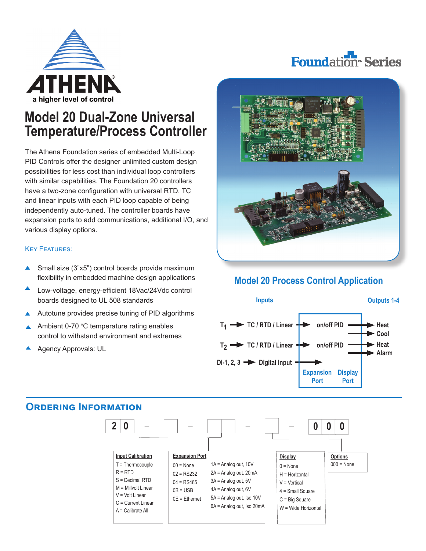



# **Model 20 Dual-Zone Universal Temperature/Process Controller**

The Athena Foundation series of embedded Multi-Loop PID Controls offer the designer unlimited custom design possibilities for less cost than individual loop controllers with similar capabilities. The Foundation 20 controllers have a two-zone configuration with universal RTD, TC and linear inputs with each PID loop capable of being independently auto-tuned. The controller boards have expansion ports to add communications, additional I/O, and various display options.

#### KEY FEATURES:

- Small size (3"x5") control boards provide maximum ▲ flexibility in embedded machine design applications
- Low-voltage, energy-efficient 18Vac/24Vdc control boards designed to UL 508 standards
- Autotune provides precise tuning of PID algorithms
- Ambient 0-70 °C temperature rating enables control to withstand environment and extremes
- Agency Approvals: UL



### **Model 20 Process Control Application**





### **ORDeRinG InfoRMation**